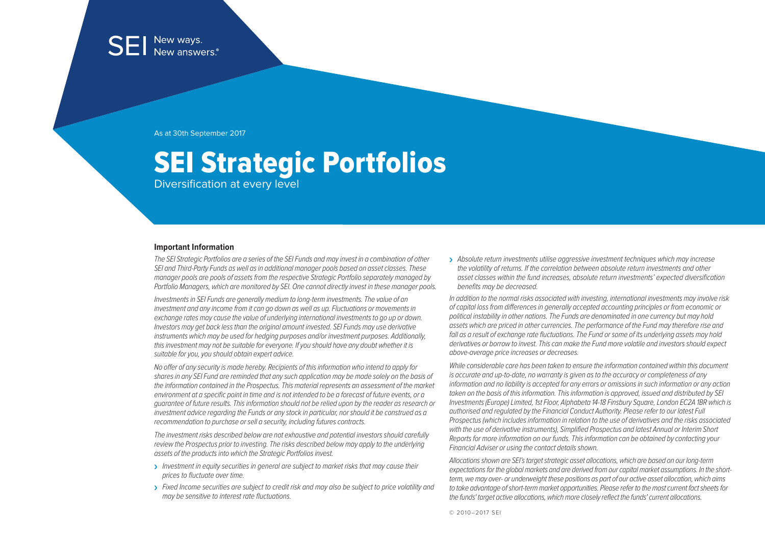As at 30th September 2017

# SEI Strategic Portfolios

Diversification at every level

#### **Important Information**

The SEI Strategic Portfolios are a series of the SEI Funds and may invest in a combination of other SEI and Third-Party Funds as well as in additional manager pools based on asset classes. These manager pools are pools of assets from the respective Strategic Portfolio separately managed by Portfolio Managers, which are monitored by SEI. One cannot directly invest in these manager pools.

Investments in SEI Funds are generally medium to long-term investments. The value of an investment and any income from it can go down as well as up. Fluctuations or movements in exchange rates may cause the value of underlying international investments to go up or down. Investors may get back less than the original amount invested. SEI Funds may use derivative instruments which may be used for hedging purposes and/or investment purposes. Additionally, this investment may not be suitable for everyone. If you should have any doubt whether it is suitable for you, you should obtain expert advice.

No offer of any security is made hereby. Recipients of this information who intend to apply for shares in any SEI Fund are reminded that any such application may be made solely on the basis of the information contained in the Prospectus. This material represents an assessment of the market environment at a specific point in time and is not intended to be a forecast of future events, or a guarantee of future results. This information should not be relied upon by the reader as research or investment advice regarding the Funds or any stock in particular, nor should it be construed as a recommendation to purchase or sell a security, including futures contracts.

The investment risks described below are not exhaustive and potential investors should carefully review the Prospectus prior to investing. The risks described below may apply to the underlying assets of the products into which the Strategic Portfolios invest.

- > Investment in equity securities in general are subject to market risks that may cause their prices to fluctuate over time.
- $\rightarrow$  Fixed Income securities are subject to credit risk and may also be subject to price volatility and may be sensitive to interest rate fluctuations.

> Absolute return investments utilise aggressive investment techniques which may increase the volatility of returns. If the correlation between absolute return investments and other asset classes within the fund increases, absolute return investments' expected diversification benefits may be decreased.

In addition to the normal risks associated with investing, international investments may involve risk of capital loss from differences in generally accepted accounting principles or from economic or political instability in other nations. The Funds are denominated in one currency but may hold assets which are priced in other currencies. The performance of the Fund may therefore rise and fall as a result of exchange rate fluctuations. The Fund or some of its underlying assets may hold derivatives or borrow to invest. This can make the Fund more volatile and investors should expect above-average price increases or decreases.

While considerable care has been taken to ensure the information contained within this document is accurate and up-to-date, no warranty is given as to the accuracy or completeness of any information and no liability is accepted for any errors or omissions in such information or any action taken on the basis of this information. This information is approved, issued and distributed by SEI Investments (Europe) Limited, 1st Floor, Alphabeta 14-18 Finsbury Square, London EC2A 1BR which is authorised and regulated by the Financial Conduct Authority. Please refer to our latest Full Prospectus (which includes information in relation to the use of derivatives and the risks associated with the use of derivative instruments), Simplified Prospectus and latest Annual or Interim Short Reports for more information on our funds. This information can be obtained by contacting your Financial Adviser or using the contact details shown.

Allocations shown are SEI's target strategic asset allocations, which are based on our long-term expectations for the global markets and are derived from our capital market assumptions. In the shortterm, we may over- or underweight these positions as part of our active asset allocation, which aims to take advantage of short-term market opportunities. Please refer to the most current fact sheets for the funds' target active allocations, which more closely reflect the funds' current allocations.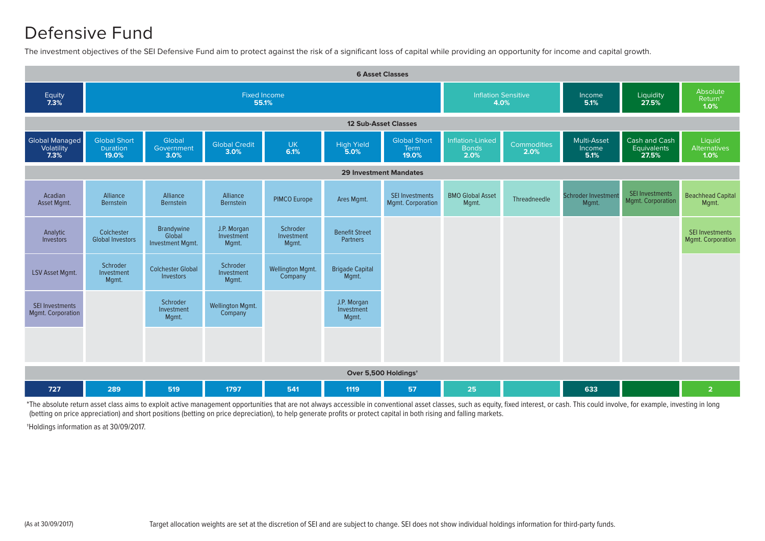#### Defensive Fund

The investment objectives of the SEI Defensive Fund aim to protect against the risk of a significant loss of capital while providing an opportunity for income and capital growth.



\*The absolute return asset class aims to exploit active management opportunities that are not always accessible in conventional asset classes, such as equity, fixed interest, or cash. This could involve, for example, inves (betting on price appreciation) and short positions (betting on price depreciation), to help generate profits or protect capital in both rising and falling markets.

†Holdings information as at 30/09/2017.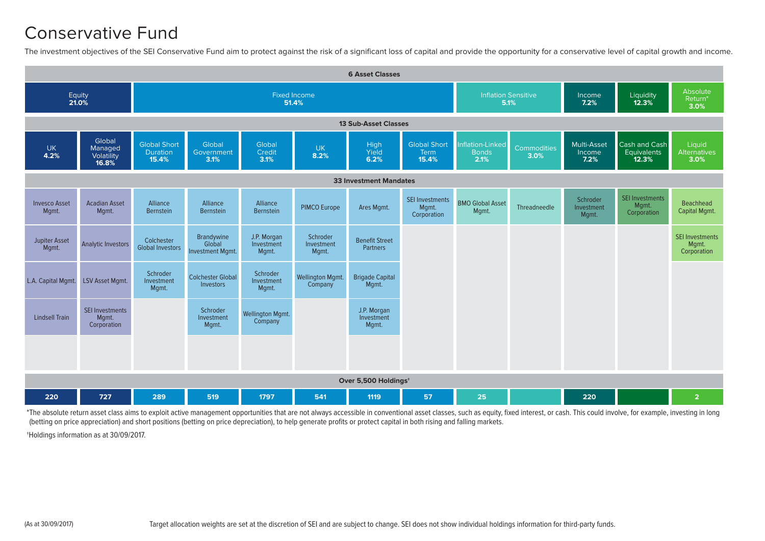#### Conservative Fund

The investment objectives of the SEI Conservative Fund aim to protect against the risk of a significant loss of capital and provide the opportunity for a conservative level of capital growth and income.



\*The absolute return asset class aims to exploit active management opportunities that are not always accessible in conventional asset classes, such as equity, fixed interest, or cash. This could involve, for example, inves (betting on price appreciation) and short positions (betting on price depreciation), to help generate profits or protect capital in both rising and falling markets.

†Holdings information as at 30/09/2017.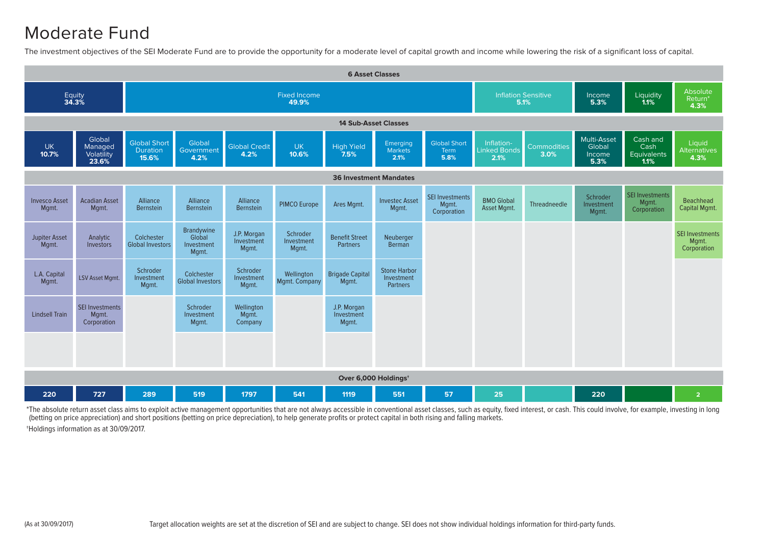#### Moderate Fund

The investment objectives of the SEI Moderate Fund are to provide the opportunity for a moderate level of capital growth and income while lowering the risk of a significant loss of capital.



\*The absolute return asset class aims to exploit active management opportunities that are not always accessible in conventional asset classes, such as equity, fixed interest, or cash. This could involve, for example, inves (betting on price appreciation) and short positions (betting on price depreciation), to help generate profits or protect capital in both rising and falling markets.

†Holdings information as at 30/09/2017.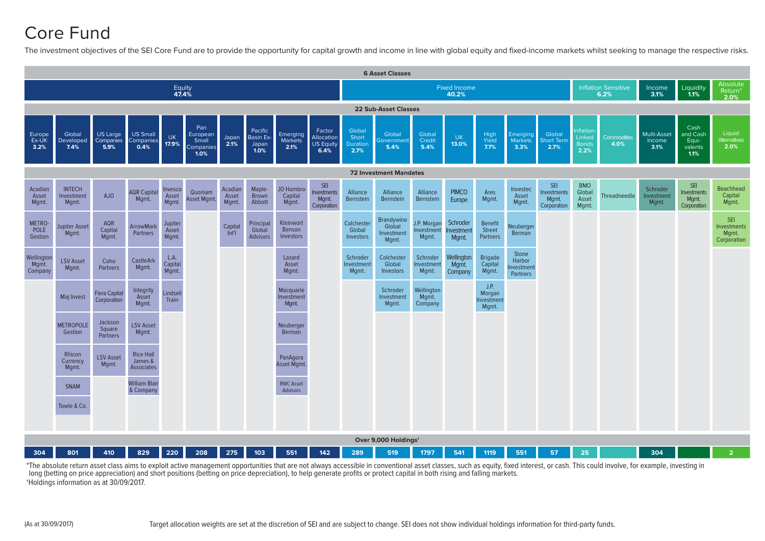## Core Fund

The investment objectives of the SEI Core Fund are to provide the opportunity for capital growth and income in line with global equity and fixed-income markets whilst seeking to manage the respective risks.



\*The absolute return asset class aims to exploit active management opportunities that are not always accessible in conventional asset classes, such as equity, fixed interest, or cash. This could involve, for example, inves long (betting on price appreciation) and short positions (betting on price depreciation), to help generate profits or protect capital in both rising and falling markets. †Holdings information as at 30/09/2017.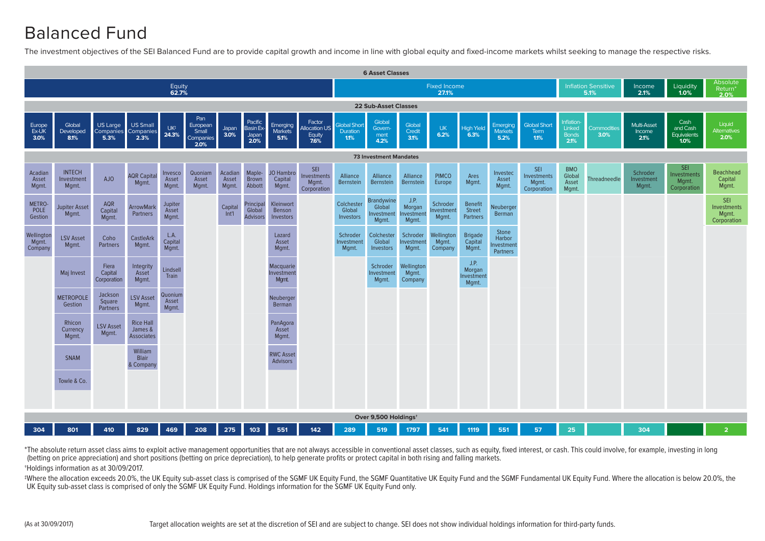## Balanced Fund

The investment objectives of the SEI Balanced Fund are to provide capital growth and income in line with global equity and fixed-income markets whilst seeking to manage the respective risks.



\*The absolute return asset class aims to exploit active management opportunities that are not always accessible in conventional asset classes, such as equity, fixed interest, or cash. This could involve, for example, inves (betting on price appreciation) and short positions (betting on price depreciation), to help generate profits or protect capital in both rising and falling markets. †Holdings information as at 30/09/2017.

#Where the allocation exceeds 20.0%, the UK Equity sub-asset class is comprised of the SGMF UK Equity Fund, the SGMF Quantitative UK Equity Fund and the SGMF Fundamental UK Equity Fund. Where the allocation is below 20.0%, UK Equity sub-asset class is comprised of only the SGMF UK Equity Fund. Holdings information for the SGMF UK Equity Fund only.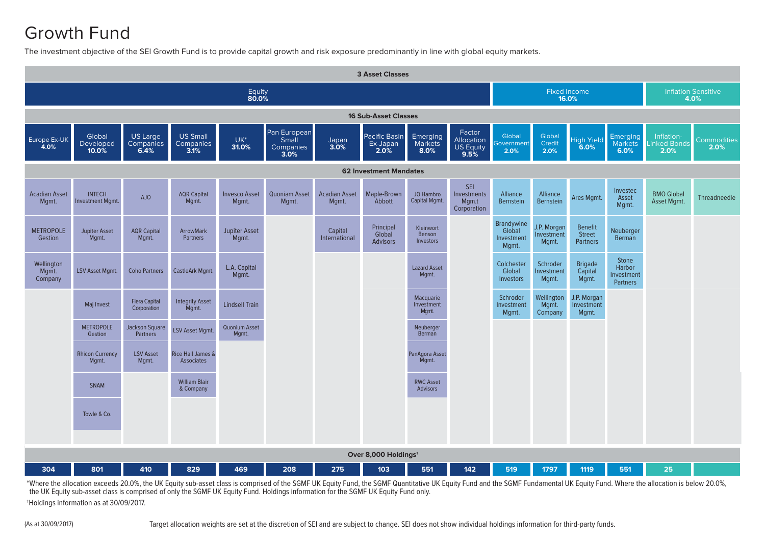## Growth Fund

The investment objective of the SEI Growth Fund is to provide capital growth and risk exposure predominantly in line with global equity markets.

| <b>3 Asset Classes</b>         |                                          |                                     |                                        |                               |                                            |                               |                                          |                                  |                                                  |                                             |                                    |                                                    |                                                         |                                   |                     |
|--------------------------------|------------------------------------------|-------------------------------------|----------------------------------------|-------------------------------|--------------------------------------------|-------------------------------|------------------------------------------|----------------------------------|--------------------------------------------------|---------------------------------------------|------------------------------------|----------------------------------------------------|---------------------------------------------------------|-----------------------------------|---------------------|
| Equity<br>80.0%                |                                          |                                     |                                        |                               |                                            |                               |                                          |                                  | Fixed Income<br>16.0%                            |                                             |                                    |                                                    | <b>Inflation Sensitive</b><br>4.0%                      |                                   |                     |
| <b>16 Sub-Asset Classes</b>    |                                          |                                     |                                        |                               |                                            |                               |                                          |                                  |                                                  |                                             |                                    |                                                    |                                                         |                                   |                     |
| Europe Ex-UK<br>4.0%           | Global<br>Developed<br>10.0%             | US Large<br>Companies<br>6.4%       | <b>US Small</b><br>Companies<br>3.1%   | $UK^*$<br>31.0%               | Pan European<br>Small<br>Companies<br>3.0% | Japan<br>3.0%                 | <b>Pacific Basin</b><br>Ex-Japan<br>2.0% | Emerging<br>Markets<br>8.0%      | Factor<br>Allocation<br><b>US Equity</b><br>9.5% | Global<br>iovernment<br>2.0%                | Global<br>Credit<br>2.0%           | <b>High Yield</b><br>6.0%                          | <b>Emerging</b><br><b>Markets</b><br>6.0%               | Inflation-<br>inked Bonds<br>2.0% | Commodities<br>2.0% |
| <b>62 Investment Mandates</b>  |                                          |                                     |                                        |                               |                                            |                               |                                          |                                  |                                                  |                                             |                                    |                                                    |                                                         |                                   |                     |
| <b>Acadian Asset</b><br>Mgmt.  | <b>INTECH</b><br><b>Investment Mgmt.</b> | AJO                                 | <b>AQR Capital</b><br>Mgmt.            | <b>Invesco Asset</b><br>Mgmt. | Quoniam Asset<br>Mgmt.                     | <b>Acadian Asset</b><br>Mgmt. | Maple-Brown<br>Abbott                    | JO Hambro<br>Capital Mgmt.       | SEI<br>Investments<br>Mgm.t<br>Corporation       | Alliance<br><b>Bernstein</b>                | Alliance<br><b>Bernstein</b>       | Ares Mgmt.                                         | Investec<br>Asset<br>Mgmt.                              | <b>BMO Global</b><br>Asset Mgmt.  | Threadneedle        |
| <b>METROPOLE</b><br>Gestion    | <b>Jupiter Asset</b><br>Mgmt.            | <b>AQR Capital</b><br>Mgmt.         | <b>ArrowMark</b><br>Partners           | <b>Jupiter Asset</b><br>Mgmt. |                                            | Capital<br>International      | Principal<br>Global<br><b>Advisors</b>   | Kleinwort<br>Benson<br>Investors |                                                  | Brandywine<br>Global<br>Investment<br>Mgmt. | J.P. Morgan<br>Investment<br>Mgmt. | <b>Benefit</b><br><b>Street</b><br><b>Partners</b> | Neuberger<br>Berman                                     |                                   |                     |
| Wellington<br>Mgmt.<br>Company | <b>LSV Asset Mgmt.</b>                   | <b>Coho Partners</b>                | CastleArk Mgmt.                        | L.A. Capital<br>Mgmt.         |                                            |                               |                                          | <b>Lazard Asset</b><br>Mgmt.     |                                                  | Colchester<br>Global<br>Investors           | Schroder<br>nvestment<br>Mgmt.     | <b>Brigade</b><br>Capital<br>Mgmt.                 | <b>Stone</b><br>Harbor<br>Investment<br><b>Partners</b> |                                   |                     |
|                                | Maj Invest                               | <b>Fiera Capital</b><br>Corporation | <b>Integrity Asset</b><br>Mgmt.        | <b>Lindsell Train</b>         |                                            |                               |                                          | Macquarie<br>Investment<br>Mgmt. |                                                  | Schroder<br>Investment<br>Mqmt.             | Wellington<br>Mgmt.<br>Company     | J.P. Morgan<br>Investment<br>Mgmt.                 |                                                         |                                   |                     |
|                                | <b>METROPOLE</b><br>Gestion              | Jackson Square<br><b>Partners</b>   | <b>LSV Asset Mgmt.</b>                 | Quonium Asset<br>Mqmt.        |                                            |                               |                                          | Neuberger<br>Berman              |                                                  |                                             |                                    |                                                    |                                                         |                                   |                     |
|                                | <b>Rhicon Currency</b><br>Mgmt.          | <b>LSV Asset</b><br>Mqmt.           | Rice Hall James &<br><b>Associates</b> |                               |                                            |                               |                                          | PanAgora Asset<br>Mqmt.          |                                                  |                                             |                                    |                                                    |                                                         |                                   |                     |
|                                | <b>SNAM</b>                              |                                     | <b>William Blair</b><br>& Company      |                               |                                            |                               |                                          | <b>RWC Asset</b><br>Advisors     |                                                  |                                             |                                    |                                                    |                                                         |                                   |                     |
|                                | Towle & Co.                              |                                     |                                        |                               |                                            |                               |                                          |                                  |                                                  |                                             |                                    |                                                    |                                                         |                                   |                     |
|                                |                                          |                                     |                                        |                               |                                            |                               |                                          |                                  |                                                  |                                             |                                    |                                                    |                                                         |                                   |                     |
|                                | Over 8,000 Holdings <sup>+</sup>         |                                     |                                        |                               |                                            |                               |                                          |                                  |                                                  |                                             |                                    |                                                    |                                                         |                                   |                     |
| 304                            | 801                                      | 410                                 | 829                                    | 469                           | 208                                        | 275                           | 103                                      | 551                              | 142                                              | 519                                         | 1797                               | 1119                                               | 551                                                     | 25                                |                     |

\*Where the allocation exceeds 20.0%, the UK Equity sub-asset class is comprised of the SGMF UK Equity Fund, the SGMF Quantitative UK Equity Fund and the SGMF Fundamental UK Equity Fund. Where the allocation is below 20.0%, the UK Equity sub-asset class is comprised of only the SGMF UK Equity Fund. Holdings information for the SGMF UK Equity Fund only. †Holdings information as at 30/09/2017.